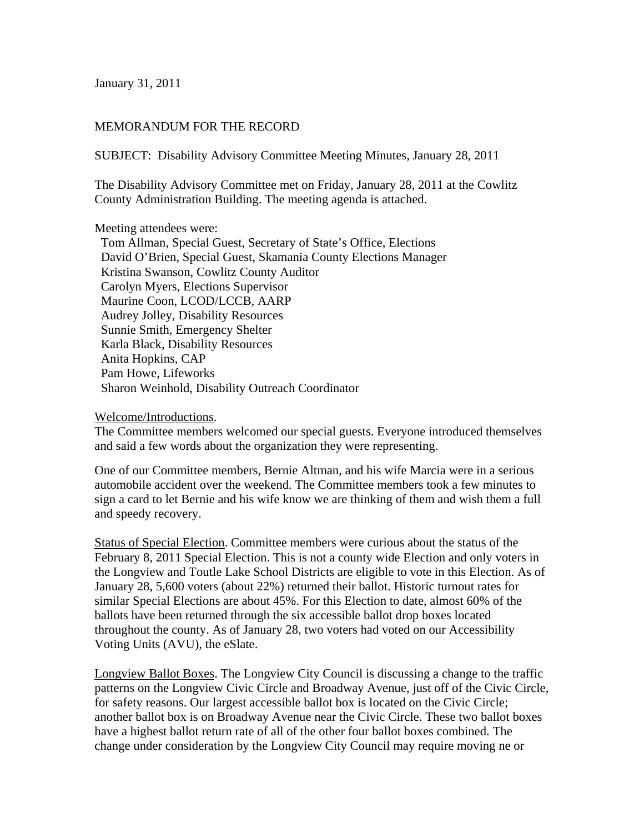January 31, 2011

## MEMORANDUM FOR THE RECORD

SUBJECT: Disability Advisory Committee Meeting Minutes, January 28, 2011

The Disability Advisory Committee met on Friday, January 28, 2011 at the Cowlitz County Administration Building. The meeting agenda is attached.

Meeting attendees were:

 Tom Allman, Special Guest, Secretary of State's Office, Elections David O'Brien, Special Guest, Skamania County Elections Manager Kristina Swanson, Cowlitz County Auditor Carolyn Myers, Elections Supervisor Maurine Coon, LCOD/LCCB, AARP Audrey Jolley, Disability Resources Sunnie Smith, Emergency Shelter Karla Black, Disability Resources Anita Hopkins, CAP Pam Howe, Lifeworks Sharon Weinhold, Disability Outreach Coordinator

Welcome/Introductions.

The Committee members welcomed our special guests. Everyone introduced themselves and said a few words about the organization they were representing.

One of our Committee members, Bernie Altman, and his wife Marcia were in a serious automobile accident over the weekend. The Committee members took a few minutes to sign a card to let Bernie and his wife know we are thinking of them and wish them a full and speedy recovery.

Status of Special Election. Committee members were curious about the status of the February 8, 2011 Special Election. This is not a county wide Election and only voters in the Longview and Toutle Lake School Districts are eligible to vote in this Election. As of January 28, 5,600 voters (about 22%) returned their ballot. Historic turnout rates for similar Special Elections are about 45%. For this Election to date, almost 60% of the ballots have been returned through the six accessible ballot drop boxes located throughout the county. As of January 28, two voters had voted on our Accessibility Voting Units (AVU), the eSlate.

Longview Ballot Boxes. The Longview City Council is discussing a change to the traffic patterns on the Longview Civic Circle and Broadway Avenue, just off of the Civic Circle, for safety reasons. Our largest accessible ballot box is located on the Civic Circle; another ballot box is on Broadway Avenue near the Civic Circle. These two ballot boxes have a highest ballot return rate of all of the other four ballot boxes combined. The change under consideration by the Longview City Council may require moving ne or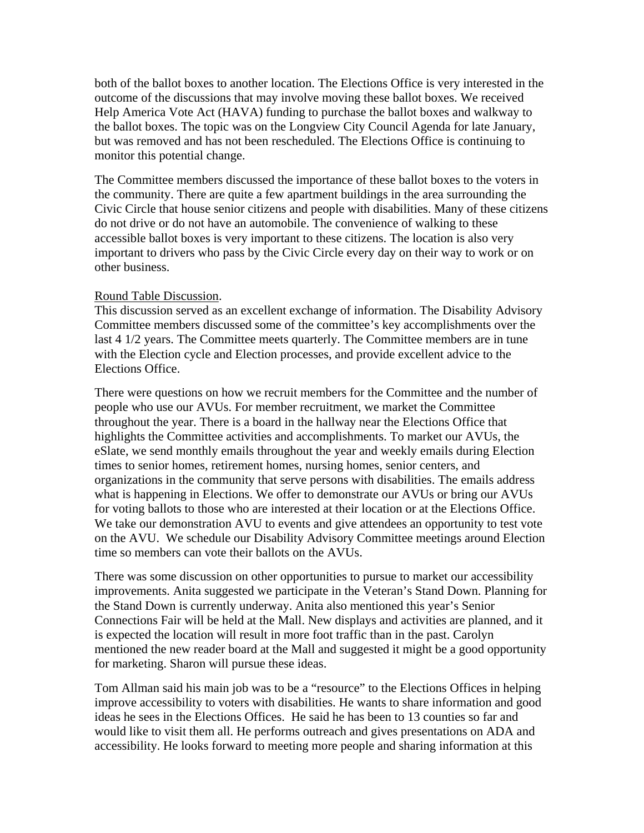both of the ballot boxes to another location. The Elections Office is very interested in the outcome of the discussions that may involve moving these ballot boxes. We received Help America Vote Act (HAVA) funding to purchase the ballot boxes and walkway to the ballot boxes. The topic was on the Longview City Council Agenda for late January, but was removed and has not been rescheduled. The Elections Office is continuing to monitor this potential change.

The Committee members discussed the importance of these ballot boxes to the voters in the community. There are quite a few apartment buildings in the area surrounding the Civic Circle that house senior citizens and people with disabilities. Many of these citizens do not drive or do not have an automobile. The convenience of walking to these accessible ballot boxes is very important to these citizens. The location is also very important to drivers who pass by the Civic Circle every day on their way to work or on other business.

## Round Table Discussion.

This discussion served as an excellent exchange of information. The Disability Advisory Committee members discussed some of the committee's key accomplishments over the last 4 1/2 years. The Committee meets quarterly. The Committee members are in tune with the Election cycle and Election processes, and provide excellent advice to the Elections Office.

There were questions on how we recruit members for the Committee and the number of people who use our AVUs. For member recruitment, we market the Committee throughout the year. There is a board in the hallway near the Elections Office that highlights the Committee activities and accomplishments. To market our AVUs, the eSlate, we send monthly emails throughout the year and weekly emails during Election times to senior homes, retirement homes, nursing homes, senior centers, and organizations in the community that serve persons with disabilities. The emails address what is happening in Elections. We offer to demonstrate our AVUs or bring our AVUs for voting ballots to those who are interested at their location or at the Elections Office. We take our demonstration AVU to events and give attendees an opportunity to test vote on the AVU. We schedule our Disability Advisory Committee meetings around Election time so members can vote their ballots on the AVUs.

There was some discussion on other opportunities to pursue to market our accessibility improvements. Anita suggested we participate in the Veteran's Stand Down. Planning for the Stand Down is currently underway. Anita also mentioned this year's Senior Connections Fair will be held at the Mall. New displays and activities are planned, and it is expected the location will result in more foot traffic than in the past. Carolyn mentioned the new reader board at the Mall and suggested it might be a good opportunity for marketing. Sharon will pursue these ideas.

Tom Allman said his main job was to be a "resource" to the Elections Offices in helping improve accessibility to voters with disabilities. He wants to share information and good ideas he sees in the Elections Offices. He said he has been to 13 counties so far and would like to visit them all. He performs outreach and gives presentations on ADA and accessibility. He looks forward to meeting more people and sharing information at this